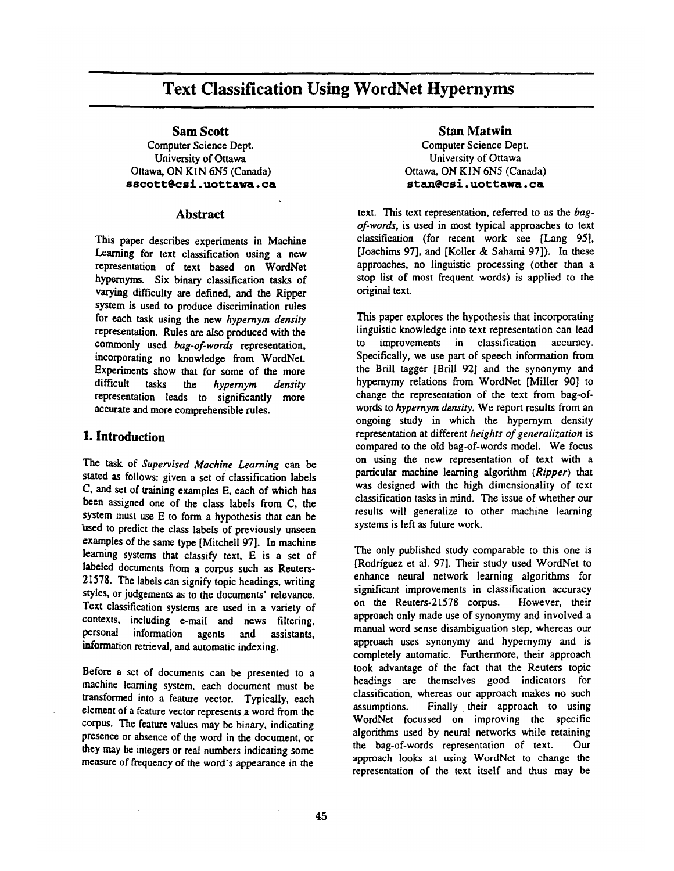# **Text Classification Using WordNet Hypernyms**

**Sam** Scott

Computer Science Dept. University of Ottawa Ottawa, ON KIN 6N5 (Canada) sscott@csi.uottawa.ca

#### **Abstract**

This paper describes experiments in Machine Learning for text classification using a new representation of text based on WordNet hypernyms. Six binary classification tasks of varying difficulty are defined, and the Ripper system is used to produce discrimination rules for each task using the new *hypernym density*  representation. Rules are also produced with the commonly used *bag-of-words* representation, incorporating no knowledge from WordNet. Experiments show that for some of the more difficult tasks the *hypernym density*  representation leads to significantly more accurate and more comprehensible rules.

## **1. Introduction**

The task of *Supervised Machine Learning* can be stated as follows: given a set of classification labels C, and set of training examples E, each of which has been assigned one of the class labels from C, the system must use E to form a hypothesis that can be used to predict the class labels of previously unseen examples of the same type [Mitchell 97]. In machine learning systems that classify text, E is a set of labeled documents from a corpus such as Reuters-21578. The labels can signify topic headings, writing styles, or judgements as to the documents' relevance. Text classification systems are used in a variety of contexts, including e-mail and news filtering, personal information agents and assistants, information retrieval, and automatic indexing.

Before a set of documents can be presented to a machine learning system, each document must be transformed into a feature vector. Typically, each element of a feature vector represents a word from the corpus. The feature values may be binary, indicating presence or absence of the word in the document, or they may be integers or real numbers indicating some measure of frequency of the word's appearance in the

Stan **Matwin**  Computer Science Dept. University of Ottawa Ottawa, ON KIN 6N5 (Canada) **st:etn~csl, uot t:awa, ca** 

i

text. This text representation, referred to as the *bagof-words,* is used in most typical approaches to text classification (for recent work see [Lang 95], [Joaehims 97], and [Koller & Sahami 97]). In these approaches, no linguistic processing (other than a stop list of most frequent words) is applied to the original text.

This paper explores the hypothesis that incorporating linguistic knowledge into text representation can lead to improvements in classification accuracy. Specifically, we use part of speech information from the Brill tagger [Brill 92] and the synonymy and hypernymy relations from WordNet [Miller 90] to change the representation of the text from bag-ofwords to *hypernym density.* We report results from an ongoing study in which the hypernym density representation at different *heights of generalization is*  compared to the old bag-of-words model. We focus on using the new representation of text with a particular machine learning algorithm *(Ripper)* that was designed with the high dimensionality of text classification tasks in mind. The issue of whether our results will generalize to other machine learning systems is left as future work.

The only published study comparable to this one is [Rodffguez et al. 97]. Their study used WordNet to enhance neural network learning algorithms for significant improvements in classification accuracy on the Reuters-21578 corpus. However, their approach only made use of synonymy and involved a manual word sense disambiguation step, whereas our approach uses synonymy and hypernymy and is completely automatic. Furthermore, their approach took advantage of the fact that the Reuters topic headings are themselves good indicators for classification, whereas our approach makes no such assumptions. Finally their approach to using WordNet focussed on improving the specific algorithms used by neural networks while retaining the bag-of-words representation of text. Our approach looks at using WordNet to change the representation of the text itself and thus may be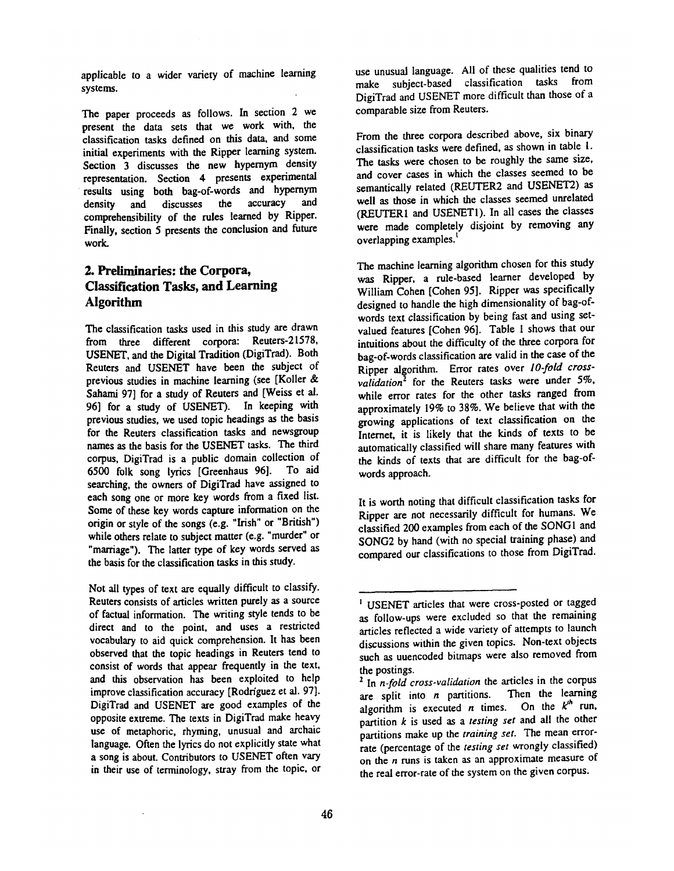applicable to a wider variety of machine learning systems.

The paper proceeds as follows. In section 2 we present the data sets that we work with, the classification tasks defined on this data, and some initial experiments with the Ripper learning system. Section 3 discusses the new hypernym density representation. Section 4 presents experimental results using both bag-of-words and hypernym<br>density and discusses the accuracy and density and discusses the comprehensibility of the rules learned by Ripper. Finally, section 5 presents the conclusion and future work.

# **2. Preliminaries: the Corpora, Classification Tasks, and Learning Algorithm**

The classification tasks used in this study are drawn from three different corpora: Reuters-21578, USENET, and the Digital Tradition (DigiTrad). Both Reuters and USENET have been the subject of previous studies in machine learning (see [Koller & Sahami 97] for a study of Reuters and [Weiss et al. 96] for a study of USENET). In keeping with previous studies, we used topic headings as the basis for the Reuters classification tasks and newsgroup names as the basis for the USENET tasks. The third corpus, DigiTrad is a public domain collection of 6500 folk song lyrics [Greenhaus 96]. To aid searching, the owners of DigiTrad have assigned to each song one or more key words from a fixed list. Some of these key words capture information on the origin or style of the songs (e.g. "Irish" or "British") while others relate to subject matter (e.g. "murder" or "marriage"). The latter type of key words served as the basis for the classification tasks in this study.

Not all types of text are equally difficult to classify. Reuters consists of articles written purely as a source of factual information. The writing style tends to be direct and to the point, and uses a restricted vocabulary to aid quick comprehension. It has been observed that the topic headings in Reuters tend to consist of words that appear frequently in the text, and this observation has been exploited to help improve classification accuracy [Rodríguez et al. 97]. DigiTrad and USENET are good examples of the opposite extreme. The texts in DigiTrad make heavy use of metaphoric, rhyming, unusual and archaic language. Often the lyrics do not explicitly state what a song is about. Contributors to USENET often vary in their use of terminology, stray from the topic, or

use unusual language. All of these qualities tend to make subject-based classification tasks from DigiTrad and USENET more difficult than those of a comparable size from Reuters.

From the three corpora described above, six binary classification tasks were defined, as shown in table 1. The tasks were chosen to be roughly the same size, and cover cases in which the classes seemed to be semantically related (REUTER2 and USENET2) as well as those in which the classes seemed unrelated (REUTER1 and USENETI). In all cases the classes were made completely disjoint by removing any overlapping examples.

The machine learning algorithm chosen for this study was Ripper, a rule-based learner developed by William Cohen [Cohen 95]. Ripper was specifically designed to handle the high dimensionality of bag-ofwords text classification by being fast and using setvalued features [Cohen 96]. Table 1 shows that our intuitions about the difficulty of the three corpora for bag-of-words classification are valid in the case of the Ripper algorithm. Error rates over *lO.fold cross*validation<sup>2</sup> for the Reuters tasks were under 5%, while error rates for the other tasks ranged from approximately 19% to 38%. We believe that with the growing applications of text classification on the Internet, it is likely that the kinds of texts to be automatically classified will share many features with the kinds of texts that are difficult for the bag-ofwords approach.

It is worth noting that difficult classification tasks for Ripper are not necessarily difficult for humans. We classified 200 examples from each of the SONGI and SONG2 by hand (with no special training phase) and compared our classifications to those from DigiTrad.

<sup>&</sup>lt;sup>1</sup> USENET articles that were cross-posted or tagged as follow-ups were excluded so that the remaining articles reflected a wide variety of attempts to launch discussions within the given topics. Non-text objects such as uuencoded bitmaps were also removed from the postings.

<sup>&</sup>lt;sup>2</sup> In *n-fold cross-validation* the articles in the corpus are split into  $n$  partitions. Then the learning algorithm is executed *n* times. On the  $k^h$  run, partition k is used as a *testing set* and all the other partitions make up the *training set.* The mean errorrate (percentage of the *testing set* wrongly classified) on the  $n$  runs is taken as an approximate measure of the real error-rate of the system on the given corpus.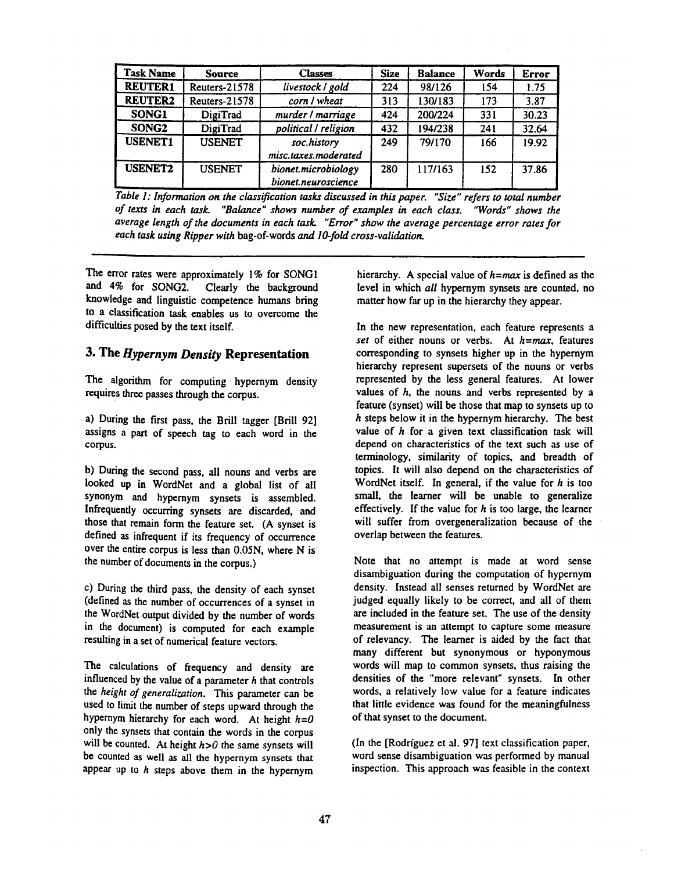| <b>Task Name</b>  | <b>Source</b> | <b>Classes</b>                             | <b>Size</b> | <b>Balance</b> | Words | <b>Error</b> |
|-------------------|---------------|--------------------------------------------|-------------|----------------|-------|--------------|
| <b>REUTER1</b>    | Reuters-21578 | livestock / gold                           | 224         | 98/126         | 154   | 1.75         |
| <b>REUTER2</b>    | Reuters-21578 | corn / wheat                               | 313         | 130/183        | 173   | 3.87         |
| SONG1             | DigiTrad      | murder / marriage                          | 424         | 200/224        | 331   | 30.23        |
| SONG <sub>2</sub> | DigiTrad      | political / religion                       | 432         | 194/238        | 241   | 32.64        |
| <b>USENET1</b>    | <b>USENET</b> | soc.history<br>misc.taxes.moderated        | 249         | 79/170         | 166   | 19.92        |
| <b>USENET2</b>    | <b>USENET</b> | bionet.microbiology<br>bionet.neuroscience | 280         | 117/163        | 152   | 37.86        |

*Table 1: Information on the class~ ication tasks discussed in this paper. "Size" refers to total number of texts in each task. "Balance" shows number of examples in each class. "Words" shows the average length of the documents in each task. "Error" show the average percentage error rates for each task using Ripper with* bag-of-words *and lO-fold cross-validation.* 

The error rates were approximately I% for SONGI and 4% for SONG2. Clearly the background knowledge and linguistic competence humans bring to a classification task enables us to overcome the difficulties posed by the text itself.

## 3. The *Hypernym Density* Representation

The algorithm for computing hypernym density requires three passes through the corpus.

a) During the first pass, the Brill tagger [Brill 92] assigns a part of speech tag to each word in the corpus.

b) During the second pass, all nouns and verbs are looked up in WordNet and a global list of all synonym and hypernym synsets is assembled. Infrequently occurring synsets are discarded, and those that remain form the feature set. (A synset is defined as infrequent if its frequency of occurrence over the entire corpus is less than 0.05N, where N is the number of documents in the corpus.)

c) During the third pass, the density of each synset (defined as the number of occurrences of a synset in the WordNet output divided by the number of words in the document) is computed for each example resulting in a set of numerical feature vectors.

The calculations of frequency and density are influenced by the value of a parameter  $h$  that controls *the height of generalization.* This parameter can be used to limit the number of steps upward through the hypernym hierarchy for each word. At height *h=O*  only the synsets that contain the words in the corpus will be counted. At height *h>O* the same synsets will be counted as well as all the hypernym synsets that appear up to  $h$  steps above them in the hypernym

hierarchy. A special value of  $h=max$  is defined as the level in which *all* hypernym synsets are counted, no matter how far up in the hierarchy they appear.

In the new representation, each feature represents a *set* of either nouns or verbs. At h=max, features corresponding to synsets higher up in the hypernym hierarchy represent supersets of the nouns or verbs represented by the less general features. At lower values of  $h$ , the nouns and verbs represented by a feature (synset) will be those that map to synsets up to h steps below it in the hypernym hierarchy. The best value of  $h$  for a given text classification task will depend on characteristics of the text such as use of terminology, similarity of topics, and breadth of topics. It will also depend on the characteristics of WordNet itself. In general, if the value for  $h$  is too small, the learner will be unable to generalize effectively. If the value for  $h$  is too large, the learner will suffer from overgeneralization because of the overlap between the features.

Note that no attempt is made at word sense disambiguation during the computation of hypernym density. Instead all senses returned by WordNet are judged equally likely to be correct, and all of them are included in the feature set. The use of the density measurement is an attempt to capture some measure of relevancy. The learner is aided by the fact that many different but synonymous or hyponymous words will map to common synsets, thus raising the densities of the "more relevant" synsets. In other words, a relatively low value for a feature indicates that little evidence was found for the meaningfulness of that synset to the document.

(In the [Rodrfguez et al. 97] text classification paper, word sense disambiguation was performed by manual inspection. This approach was feasible in the context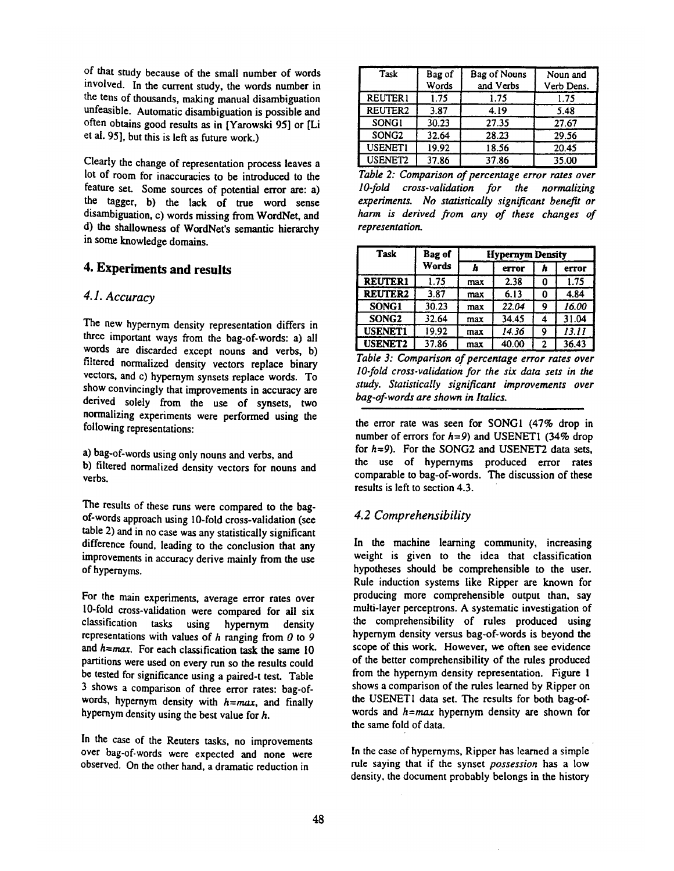of that study because of the small number of words involved. In the current study, the words number in the tens of thousands, making manual disambiguation unfeasible. Automatic disambiguation is possible and often obtains good results as in [Yarowski 95] or [Li et al. 95], but this is left as future work.)

Clearly the change of representation process leaves a lot of room for inaccuracies to be introduced to the feature set. Some sources of potential error are: a) the tagger, b) the lack of true word sense disambiguation, c) words missing from WordNet, and d) the shallowness of WordNet's semantic hierarchy in some knowledge domains.

# **4. Experiments and results**

## *4.1. Accuracy*

The new hypernym density representation differs in three important ways from the bag-of-words: a) all words are discarded except nouns and verbs, b) filtered normalized density vectors replace binary vectors, and c) hypernym synsets replace words. To show convincingly that improvements in accuracy are derived solely from the use of synsets, two normalizing experiments were performed using the following representations:

a) bag-of-words using only nouns and verbs, and b) filtered normalized density vectors for nouns and verbs.

The results of these runs were compared to the bagof-words approach using 10-fold cross-validation (see table 2) and in no case was any statistically significant difference found, leading to the conclusion that any improvements in accuracy derive mainly from the use of hypernyms.

For the main experiments, average error rates over 10-fold cross-validation were compared for all six classification tasks using hypernym density using hypernym density representations with values of  $h$  ranging from  $0$  to  $9$ and  $h=max$ . For each classification task the same 10 partitions were used on every run so the results could be tested for significance using a paired-t test. Table 3 shows a comparison of three error rates: bag-ofwords, hypernym density with  $h=max$ , and finally hypernym density using the best value for h.

In the case of the Reuters tasks, no improvements over bag-of-words were expected and none were observed. On the other hand, a dramatic reduction in

| Task                | Bag of<br>Words | <b>Bag of Nouns</b><br>and Verbs | Noun and<br>Verb Dens. |
|---------------------|-----------------|----------------------------------|------------------------|
| <b>REUTER1</b>      | 1.75            | 1.75                             | 1.75                   |
| REUTER <sub>2</sub> | 3.87            | 4.19                             | 5.48                   |
| SONG1               | 30.23           | 27.35                            | 27.67                  |
| SONG <sub>2</sub>   | 32.64           | 28.23                            | 29.56                  |
| <b>USENET1</b>      | 19.92           | 18.56                            | 20.45                  |
| USENET <sub>2</sub> | 37.86           | 37.86                            | 35.00                  |

*Table 2: Comparison of percentage error rates over l O-fold cross-validation for the normalizing experiments. No statistically significant benefit or harm is derived from any of these changes of representation.* 

| Task              | Bag of | <b>Hypernym Density</b> |       |   |       |
|-------------------|--------|-------------------------|-------|---|-------|
|                   | Words  | h                       | error | h | error |
| <b>REUTER1</b>    | 1.75   | max                     | 2.38  |   | 1.75  |
| <b>REUTER2</b>    | 3.87   | max                     | 6.13  |   | 4.84  |
| SONG1             | 30.23  | max                     | 22.04 | 9 | 16.00 |
| SONG <sub>2</sub> | 32.64  | max                     | 34.45 |   | 31.04 |
| <b>USENET1</b>    | 19.92  | max                     | 14.36 | 9 | 13.11 |
| <b>USENET2</b>    | 37.86  | max                     | 40.00 | 2 | 36.43 |

*Table 3: Comparison of percentage error rates over lO-fold cross-validation for the six data sets in the study. Statistically significant improvements over bag-of-words are shown in Italics.* 

the error rate was seen for SONGI (47% drop in number of errors for *h=9)* and USENETI (34% drop for *h=9).* For the SONG2 and USENET2 data sets, the use of hypernyms produced error rates comparable to bag-of-words. The discussion of these results is left to section 4.3.

## *4.2 Comprehensibility*

In the machine learning community, increasing weight is given to the idea that classification hypotheses should be comprehensible to the user. Rule induction systems like Ripper are known for producing more comprehensible output than, say multi-layer perceptrons. A systematic investigation of the comprehensibility of rules produced using hypernym density versus bag-of-words is beyond the scope of this work. However, we often see evidence of the better comprehensibility of the rules produced from the hypernym density representation. Figure 1 shows a comparison of the rules learned by Ripper on the USENETI data set. The results for both bag-ofwords and  $h=max$  hypernym density are shown for the same fold of data.

In the case of hypernyms, Ripper has learned a simple rule saying that if the synset *possession* has a low density, the document probably belongs in the history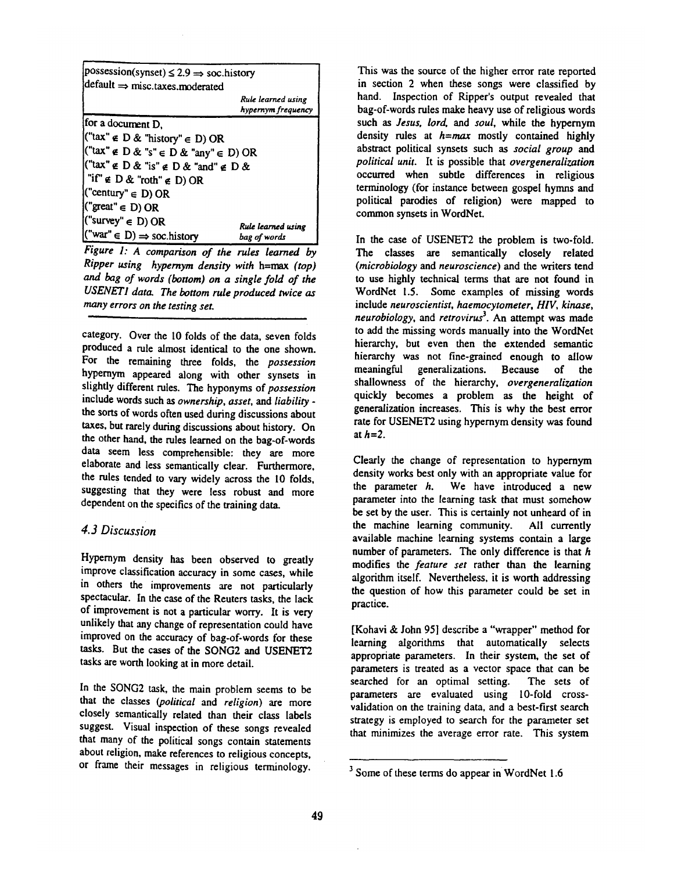| $ possession(synset) \leq 2.9 \Rightarrow$ soc.history                     |                                          |  |  |  |  |
|----------------------------------------------------------------------------|------------------------------------------|--|--|--|--|
| $\det$ default $\Rightarrow$ misc.taxes.moderated                          |                                          |  |  |  |  |
|                                                                            | Rule learned using<br>hypernym frequency |  |  |  |  |
| for a document D,                                                          |                                          |  |  |  |  |
| $\left(\int^{\cdot} \tan^{n} \epsilon D \& \sin \tau \right)^{n} \in D$ OR |                                          |  |  |  |  |
| $\left  \right $ ("tax" $\in$ D & "s" $\in$ D & "any" $\in$ D) OR          |                                          |  |  |  |  |
| $\left[\text{``tax'' \in D \& "is'' \in D \& "and'' \in D \&}\right]$      |                                          |  |  |  |  |
| $\vert$ "if" $\notin$ D & "roth" $\notin$ D) OR                            |                                          |  |  |  |  |
| $(\text{``century''} \in D) \text{ OR }$                                   |                                          |  |  |  |  |
| $(\text{"great" \in D) OR}$                                                |                                          |  |  |  |  |
| $("surve" \in D) OR$                                                       |                                          |  |  |  |  |
| $\mathcal{C}$ war" $\in D$ ) $\Rightarrow$ soc.history                     | Rule learned using<br>bag of words       |  |  |  |  |

*Figure 1: A comparison of the rules learned by Ripper using hypernym density with h=max (top) and bog of words (bottom) on a single fold of the USENETI data. The bottom rule produced twice as many errors on the testing set.* 

category. Over the 10 folds of the data, seven folds produced a rule almost identical to the one shown. For the remaining three folds, the *possession*  hypernym appeared along with other synsets in slightly different rules. The hyponyms of *possession*  include words such as *ownership, asset, and liability*  the sorts of words often used during discussions about taxes, but rarely during discussions about history. On the other hand, the rules learned on the bag-of-words data seem less comprehensible: they are more elaborate and less semantically clear. Furthermore, the rules tended to vary widely across the 10 folds, suggesting that they were less robust and more dependent on the specifics of the training data.

## *4.3 Discussion*

Hypernym density has been observed to greatly improve classification accuracy in some cases, while in others the improvements are not particularly spectacular. In the case of the Reuters tasks, the lack of improvement is not a particular worry. It is very unlikely that any change of representation could have improved on the accuracy of bag-of-words for these tasks. But the cases of the SONG2 and USENET2 tasks are worth looking at in more detail.

In the SONG2 task, the main problem seems to be that the classes *(political* and *religion) are* more closely semantically related than their class labels suggest. Visual inspection of these songs revealed that many of the political songs contain statements about religion, make references to religious concepts, or frame their messages in religious terminology.

This was the source of the higher error rate reported in section 2 when these songs were classified by hand. Inspection of Ripper's output revealed that bag-of-words rules make heavy use of religious words such as *Jesus, lord, and soul,* while the hypernym density rules at  $h=max$  mostly contained highly abstract political synsets such as *social group* and *political unit.* It is possible that *overgeneralization*  occurred when subtle differences in religious terminology (for instance between gospel hymns and political parodies of religion) were mapped to common synsets in WordNet.

In the case of USENET2 the problem is two-fold. The classes are semantically closely related *(microbiology* and *neuroscience)* and the writers tend to use highly technical terms that are not found in WordNet 1.5. Some examples of missing words include *neuroscientist, haemocytometer, HIV, kinase, neurobiology,* and *retrovirus 3.* An attempt was made to add the missing words manually into the WordNet hierarchy, but even then the extended semantic hierarchy was not fine-grained enough to allow meaningful generalizations. Because of the shallowness of the hierarchy, *overgeneralization*  quickly becomes a problem as the height of generalization increases. This is why the best error rate for USENET2 using hypernym density was found at *h=2.* 

Clearly the change of representation to hypernym density works best only with an appropriate value for the parameter  $h$ . We have introduced a new parameter into the learning task that must somehow be set by the user. This is certainly not unheard of in the machine learning community. All currently available machine learning systems contain a large number of parameters. The only difference is that  $h$ modifies the *feature set* rather than the learning algorithm itself. Nevertheless, it is worth addressing the question of how this parameter could be set in practice.

[Kohavi & John 95] describe a "wrapper" method for learning algorithms that automatically selects appropriate parameters. In their system, the set of parameters is treated as a vector space that can be searched for an optimal setting. The sets of parameters are evaluated using 10-fold crossvalidation on the training data, and a best-first search strategy is employed to search for the parameter set that minimizes the average error rate. This system

 $3$  Some of these terms do appear in WordNet 1.6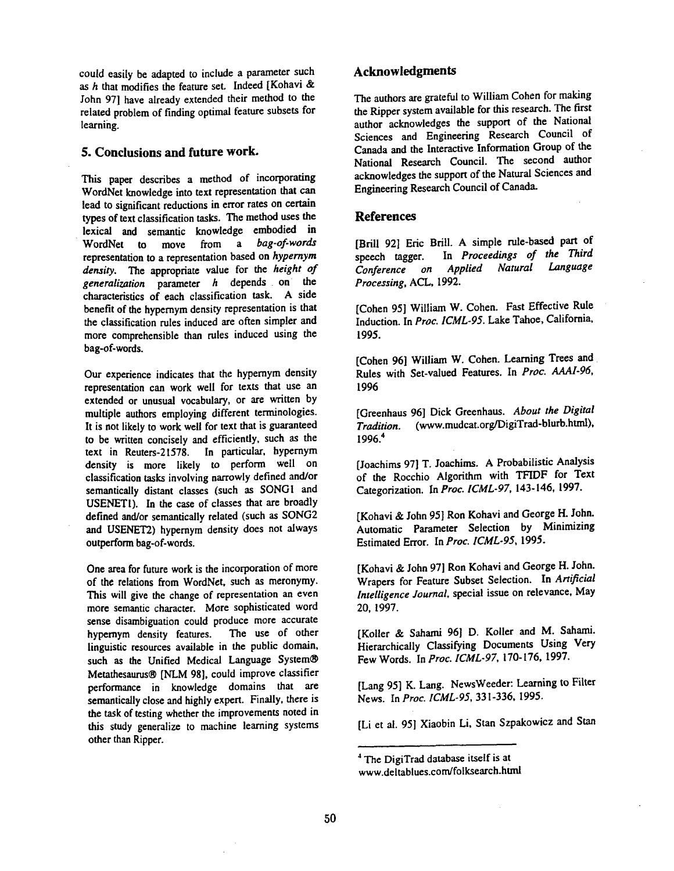could easily be adapted to include a parameter such as h that modifies the feature set. Indeed [Kohavi & .Iohn 97] have already extended their method to the related problem of finding optimal feature subsets for learning.

#### **5. Conclusions and future work.**

This paper describes a method of incorporating WordNet knowledge into text representation that can lead to significant reductions in error rates on certain types of text classification tasks. The method uses the lexical and semantic knowledge embodied in WordNet to move from a *bag-of.words*  representation to a representation based on *hypernym density.* The appropriate value for the *height of generalization* parameter h depends on the characteristics of each classification task. A side benefit of the hypernym density representation is that the classification rules induced are often simpler and more comprehensible than rules induced using the bag-of-words.

Our experience indicates that the hypernym density representation can work well for texts that use an extended or unusual vocabulary, or are written by multiple authors employing different terminologies. It is not likely to work well for text that is guaranteed to be written concisely and efficiently, such as the text in Reuters-21578. In particular, hypernym density is more likely to perform well on classification tasks involving narrowly defined and/or semantically distant classes (such as SONGI and USENETI). In the case of classes that are broadly defined and/or semantically related (such as SONG2 and USENET2) hypernym density does not always outperform bag-of-words.

One area for future work is the incorporation of more of the relations from WordNet, such as meronymy. This will give the change of representation an even more semantic character. More sophisticated word sense disambiguation could produce more accurate hypernym density features. The use of other linguistic resources available in the public domain, such as the Unified Medical Language System® Metathesaurus® [NLM 98], could improve classifier performance in knowledge domains that are semantically close and highly expert. Finally, there is the task of testing whether the improvements noted in this study generalize to machine learning systems other than Ripper.

# **Acknowledgments**

The authors are grateful to William Cohen for making the Ripper system available for this research. The first author acknowledges the support of the National Sciences and Engineering Research Council of Canada and the Interactive Information Group of the National Research Council. The second author acknowledges the support of the Natural Sciences and Engineering Research Council of Canada.

#### **References**

[BriU 92] Eric Brill. A simple rule-based part of speech tagger. In *Proceedings of the Third Conference on Applied Natural Language Processing,* ACL, 1992.

[Cohen 95] William W. Cohen. Fast Effective Rule Induction. In *Proc. ICML-95.* Lake Tahoe, California, 1995.

[Cohen 96] William W. Cohen. Learning Trees and Rules with Set-valued Features. In *Proc. AAAI-96,*  1996

[Greenhaus 96] Dick Greenhaus. *About the Digital Tradition.* (www.mudcat.org/DigiTrad-blurb.html), 1996. 4

[Joachims 97] T..l'oachims. A Probabilistic Analysis of the Rocchio Algorithm with TFIDF for Text Categorization. In *Proc. ICML-97,* 143-146, 1997.

[Kohavi & John 95] Ron Kohavi and George H. John. Automatic Parameter Selection by Minimizing Estimated Error. In *Proc. ICML-95,* 1995.

[Kohavi & John 97] Ron Kohavi and George H. John. Wrapers for Feature Subset Selection. In *Artificial Intelligence Journal,* special issue on relevance, May 20, 1997.

[Koller & Saharni 96] D. Koller and M. Sahami. Hierarchically Classifying Documents Using Very Few Words. In *Proc. ICML-97,* 170-176, 1997.

[Lang 95] K. Lang. NewsWeeder: Learning to Filter News. In *Proc. ICML-95,* 331-336, 1995,

[Li et al. 95] Xiaobin Li, Stan Szpakowicz and Stan

<sup>4</sup> The DigiTrad database itself is at

www.deltablues.com/folksearch.html